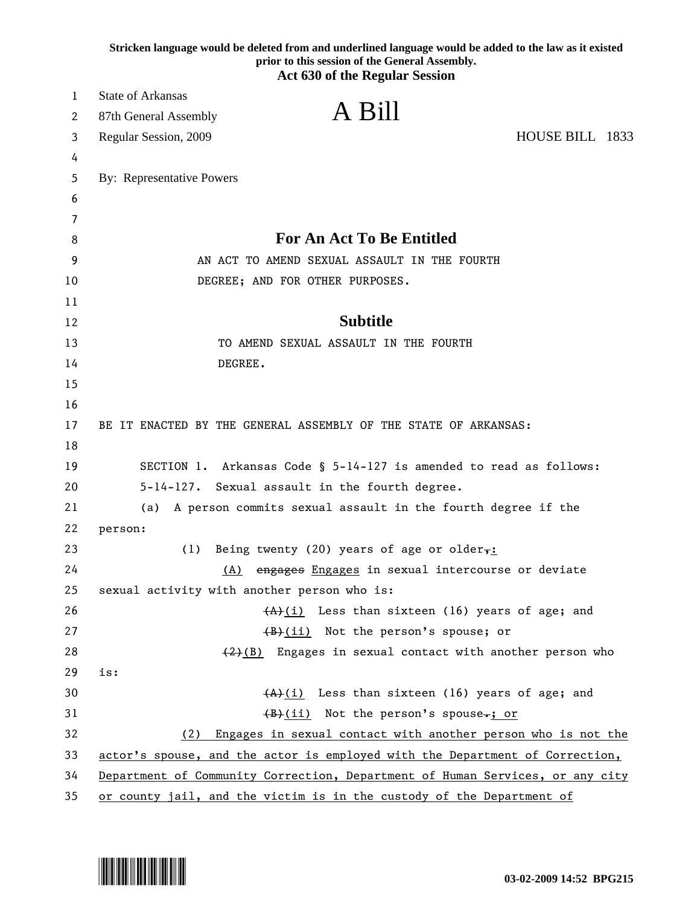|          | Stricken language would be deleted from and underlined language would be added to the law as it existed<br>prior to this session of the General Assembly.<br><b>Act 630 of the Regular Session</b> |
|----------|----------------------------------------------------------------------------------------------------------------------------------------------------------------------------------------------------|
| 1        | <b>State of Arkansas</b>                                                                                                                                                                           |
| 2        | A Bill<br>87th General Assembly                                                                                                                                                                    |
| 3        | HOUSE BILL 1833<br>Regular Session, 2009                                                                                                                                                           |
| 4        |                                                                                                                                                                                                    |
| 5        | <b>By:</b> Representative Powers                                                                                                                                                                   |
| 6        |                                                                                                                                                                                                    |
| 7        |                                                                                                                                                                                                    |
| 8        | For An Act To Be Entitled                                                                                                                                                                          |
| 9        | AN ACT TO AMEND SEXUAL ASSAULT IN THE FOURTH                                                                                                                                                       |
| 10       | DEGREE; AND FOR OTHER PURPOSES.                                                                                                                                                                    |
| 11       |                                                                                                                                                                                                    |
| 12       | <b>Subtitle</b>                                                                                                                                                                                    |
| 13       | TO AMEND SEXUAL ASSAULT IN THE FOURTH                                                                                                                                                              |
| 14       | DEGREE.                                                                                                                                                                                            |
| 15       |                                                                                                                                                                                                    |
| 16       |                                                                                                                                                                                                    |
| 17       | BE IT ENACTED BY THE GENERAL ASSEMBLY OF THE STATE OF ARKANSAS:                                                                                                                                    |
| 18       |                                                                                                                                                                                                    |
| 19       | SECTION 1. Arkansas Code § 5-14-127 is amended to read as follows:                                                                                                                                 |
| 20       | 5-14-127. Sexual assault in the fourth degree.                                                                                                                                                     |
| 21       | A person commits sexual assault in the fourth degree if the<br>(a)                                                                                                                                 |
| 22       | person:                                                                                                                                                                                            |
| 23       | Being twenty (20) years of age or older,:<br>(1)                                                                                                                                                   |
| 24       | (A) engages Engages in sexual intercourse or deviate                                                                                                                                               |
| 25       | sexual activity with another person who is:                                                                                                                                                        |
| 26       | $(A)$ (i) Less than sixteen (16) years of age; and                                                                                                                                                 |
| 27<br>28 | $(B)$ (ii) Not the person's spouse; or<br>$(2)$ (B) Engages in sexual contact with another person who                                                                                              |
| 29       | is:                                                                                                                                                                                                |
| 30       | $(A)$ (i) Less than sixteen (16) years of age; and                                                                                                                                                 |
| 31       | $(B)$ (ii) Not the person's spouse.; or                                                                                                                                                            |
| 32       | Engages in sexual contact with another person who is not the<br>(2)                                                                                                                                |
| 33       | actor's spouse, and the actor is employed with the Department of Correction,                                                                                                                       |
| 34       | Department of Community Correction, Department of Human Services, or any city                                                                                                                      |
| 35       | or county jail, and the victim is in the custody of the Department of                                                                                                                              |